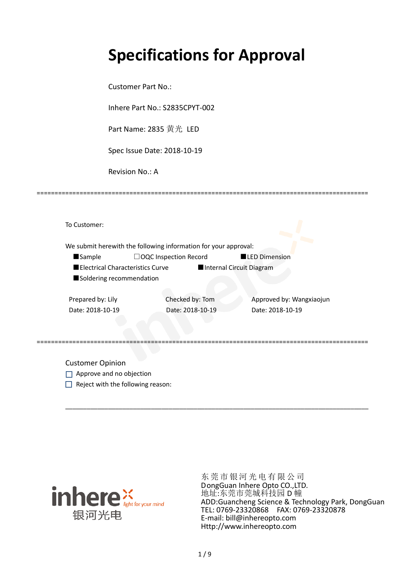## **Specifications for Approval**

Customer Part No.:

Inhere Part No.: S2835CPYT-002

Part Name: 2835 黄光 LED

Spec Issue Date: 2018-10-19

Revision No.: A

|                                  | We submit herewith the following information for your approval: |                          |
|----------------------------------|-----------------------------------------------------------------|--------------------------|
| <b>Sample</b>                    | $\Box$ OQC Inspection Record                                    | <b>LED Dimension</b>     |
| Electrical Characteristics Curve |                                                                 | Internal Circuit Diagram |
| Soldering recommendation         |                                                                 |                          |
|                                  |                                                                 |                          |
| Prepared by: Lily                | Checked by: Tom                                                 | Approved by: Wangxiaojun |
| Date: 2018-10-19                 | Date: 2018-10-19                                                | Date: 2018-10-19         |
|                                  |                                                                 |                          |
|                                  |                                                                 |                          |

\_\_\_\_\_\_\_\_\_\_\_\_\_\_\_\_\_\_\_\_\_\_\_\_\_\_\_\_\_\_\_\_\_\_\_\_\_\_\_\_\_\_\_\_\_\_\_\_\_\_\_\_\_\_\_\_\_\_\_\_\_\_\_\_\_\_\_\_\_\_\_\_\_\_\_\_\_\_\_\_\_\_\_\_\_

=============================================================================================

Customer Opinion

- Approve and no objection
- $\Box$  Reject with the following reason:



东莞市银河光电有限公司 DongGuan Inhere Opto CO.,LTD. 地址:东莞市莞城科技园 D 幢 ADD:Guancheng Science & Technology Park, DongGuan TEL: 0769-23320868 FAX: 0769-23320878 E-mail: bill@inhereopto.com Http://www.inhereopto.com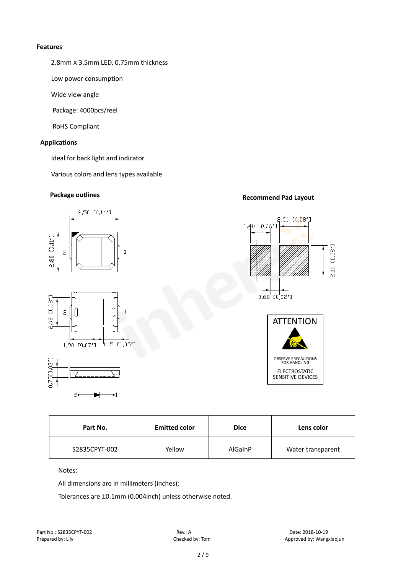#### **Features**

2.8mm x 3.5mm LED, 0.75mm thickness

Low power consumption

Wide view angle

Package: 4000pcs/reel

RoHS Compliant

#### **Applications**

Ideal for back light and indicator

Various colors and lens types available

### **Package outlines Recommend Pad Layout**



| Part No.      | <b>Emitted color</b> | <b>Dice</b> | Lens color        |
|---------------|----------------------|-------------|-------------------|
| S2835CPYT-002 | Yellow               | AlGaInP     | Water transparent |

Notes:

All dimensions are in millimeters (inches);

Tolerances are ±0.1mm (0.004inch) unless otherwise noted.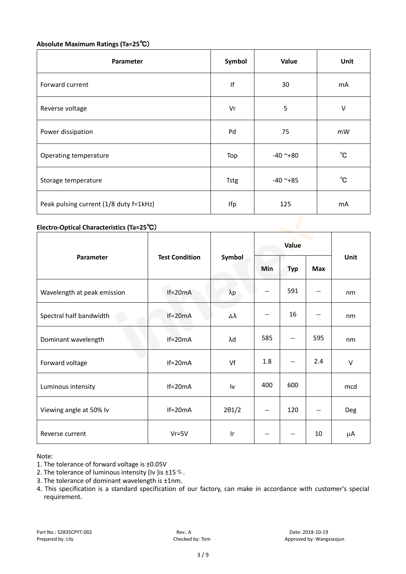### **Absolute Maximum Ratings (Ta=25**℃)

| Parameter                              | Symbol      | Value      | Unit         |
|----------------------------------------|-------------|------------|--------------|
| Forward current                        | lf          | 30         | mA           |
| Reverse voltage                        | Vr          | 5          | V            |
| Power dissipation                      | Pd          | 75         | mW           |
| Operating temperature                  | Top         | $-40$ ~+80 | $^{\circ}$ C |
| Storage temperature                    | <b>Tstg</b> | $-40$ ~+85 | $^{\circ}$ C |
| Peak pulsing current (1/8 duty f=1kHz) | Ifp         | 125        | mA           |

#### **Electro-Optical Characteristics (Ta=25**℃)

|                             | <b>Test Condition</b> | Symbol        | Value                    |            |              |        |
|-----------------------------|-----------------------|---------------|--------------------------|------------|--------------|--------|
| Parameter                   |                       |               | Min                      | <b>Typ</b> | Max          | Unit   |
| Wavelength at peak emission | $If=20mA$             | $\lambda p$   | --                       | 591        |              | nm     |
| Spectral half bandwidth     | $If=20mA$             | Δλ            | $\overline{\phantom{a}}$ | 16         |              | nm     |
| Dominant wavelength         | $If=20mA$             | λd            | 585                      | --         | 595          | nm     |
| Forward voltage             | $If=20mA$             | Vf            | 1.8                      | --         | 2.4          | $\vee$ |
| Luminous intensity          | $If=20mA$             | Iv            | 400                      | 600        |              | mcd    |
| Viewing angle at 50% lv     | $If=20mA$             | $2\theta$ 1/2 | $-$                      | 120        | $\mathbf{u}$ | Deg    |
| Reverse current             | $Vr = 5V$             | Ir            | $-$                      | $-$        | 10           | μA     |

Note:

- 3. The tolerance of dominant wavelength is ±1nm.
- 4. This specification is a standard specification of our factory, can make in accordance with customer's special requirement.

<sup>1.</sup> The tolerance of forward voltage is ±0.05V

<sup>2.</sup> The tolerance of luminous intensity (Iv ) is  $\pm 15\%$ .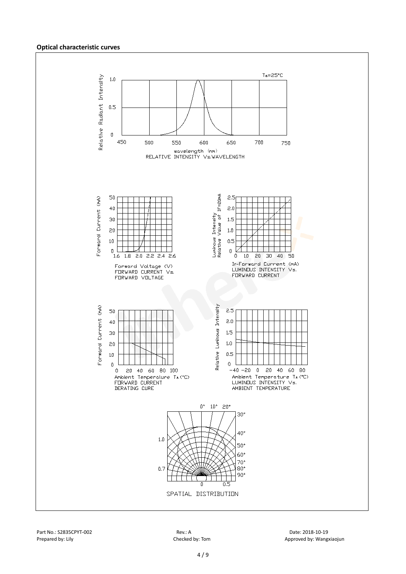#### **Optical characteristic curves**

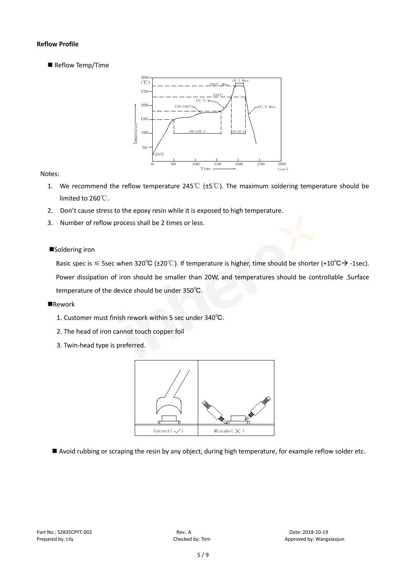#### **Reflow Profile**

Reflow Temp/Time



#### Notes:

- 1. We recommend the reflow temperature 245℃ (±5℃). The maximum soldering temperature should be limited to 260℃.
- 2. Don't cause stress to the epoxy resin while it is exposed to high temperature.
- 3. Number of reflow process shall be 2 times or less.

#### ■Soldering iron

Basic spec is  $\leq$  5sec when 320°C (±20°C). If temperature is higher, time should be shorter (+10°C $\rightarrow$ -1sec). Power dissipation of iron should be smaller than 20W, and temperatures should be controllable .Surface temperature of the device should be under 350℃.

#### **Rework**

- 1. Customer must finish rework within 5 sec under 340℃.
- 2. The head of iron cannot touch copper foil
- 3. Twin-head type is preferred.



Avoid rubbing or scraping the resin by any object, during high temperature, for example reflow solder etc.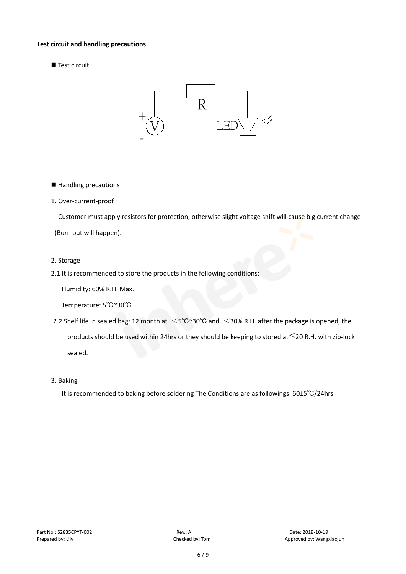#### T**est circuit and handling precautions**

Test circuit



■ Handling precautions

#### 1. Over-current-proof

Customer must apply resistors for protection; otherwise slight voltage shift will cause big current change (Burn out will happen).

#### 2. Storage

#### 2.1 It is recommended to store the products in the following conditions:

Humidity: 60% R.H. Max.

Temperature: 5℃~30℃

- 2.2 Shelf life in sealed bag: 12 month at <5℃~30°C and <30% R.H. after the package is opened, the products should be used within 24hrs or they should be keeping to stored at≦20 R.H. with zip-lock sealed.
- 3. Baking

It is recommended to baking before soldering The Conditions are as followings: 60±5℃/24hrs.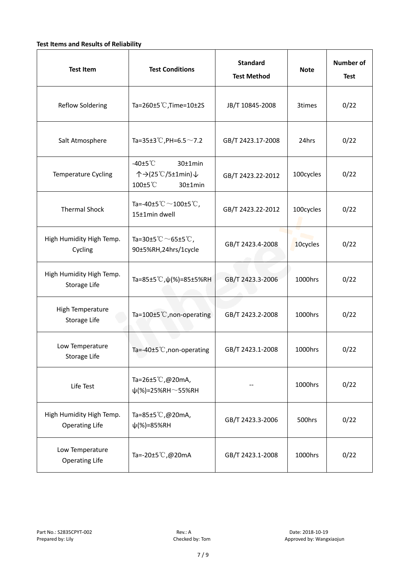#### **Test Items and Results of Reliability**

| <b>Test Item</b>                                  | <b>Test Conditions</b>                                                         | <b>Standard</b><br><b>Test Method</b> | <b>Note</b> | <b>Number of</b><br><b>Test</b> |
|---------------------------------------------------|--------------------------------------------------------------------------------|---------------------------------------|-------------|---------------------------------|
| <b>Reflow Soldering</b>                           | Ta=260 $\pm$ 5 °C, Time=10 $\pm$ 2S                                            | JB/T 10845-2008                       | 3times      | 0/22                            |
| Salt Atmosphere                                   | Ta=35±3°C, PH=6.5 $\sim$ 7.2                                                   | GB/T 2423.17-2008                     | 24hrs       | 0/22                            |
| Temperature Cycling                               | -40 $±5^{\circ}$ C<br>$30±1$ min<br>个→(25℃/5±1min)↓<br>100±5°C<br>$30±1$ min   | GB/T 2423.22-2012                     | 100cycles   | 0/22                            |
| <b>Thermal Shock</b>                              | Ta=-40±5 $\degree \text{C}$ $\sim$ 100±5 $\degree \text{C}$ ,<br>15±1min dwell | GB/T 2423.22-2012                     | 100cycles   | 0/22                            |
| High Humidity High Temp.<br>Cycling               | Ta=30±5 °C $\sim$ 65±5 °C,<br>90±5%RH,24hrs/1cycle                             | GB/T 2423.4-2008                      | 10cycles    | 0/22                            |
| High Humidity High Temp.<br>Storage Life          | Ta=85±5 °C, $\psi$ (%)=85±5%RH                                                 | GB/T 2423.3-2006                      | 1000hrs     | 0/22                            |
| High Temperature<br><b>Storage Life</b>           | Ta=100±5°C, non-operating                                                      | GB/T 2423.2-2008                      | 1000hrs     | 0/22                            |
| Low Temperature<br>Storage Life                   | Ta=-40±5℃, non-operating                                                       | GB/T 2423.1-2008                      | 1000hrs     | 0/22                            |
| Life Test                                         | Ta=26±5℃,@20mA,<br>$\psi$ (%)=25%RH~55%RH                                      |                                       | 1000hrs     | 0/22                            |
| High Humidity High Temp.<br><b>Operating Life</b> | Ta=85±5 $\degree$ C, @20mA,<br>$\psi$ (%)=85%RH                                | GB/T 2423.3-2006                      | 500hrs      | 0/22                            |
| Low Temperature<br><b>Operating Life</b>          | Ta=-20±5℃,@20mA                                                                | GB/T 2423.1-2008                      | 1000hrs     | 0/22                            |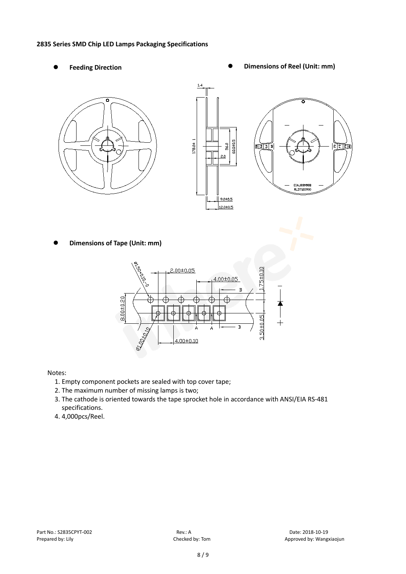#### **2835 Series SMD Chip LED Lamps Packaging Specifications**

- 
- Feeding Direction **Constanting Constanting Constanting Constanting Constanting Constanting Constanting Constanting Constanting Constanting Constanting Constanting Constanting Constanting Constanting Constanting Constanting**





**Dimensions of Tape (Unit: mm)**



#### Notes:

- 1. Empty component pockets are sealed with top cover tape;
- 2. The maximum number of missing lamps is two;
- 3. The cathode is oriented towards the tape sprocket hole in accordance with ANSI/EIA RS-481 specifications.
- 4. 4,000pcs/Reel.